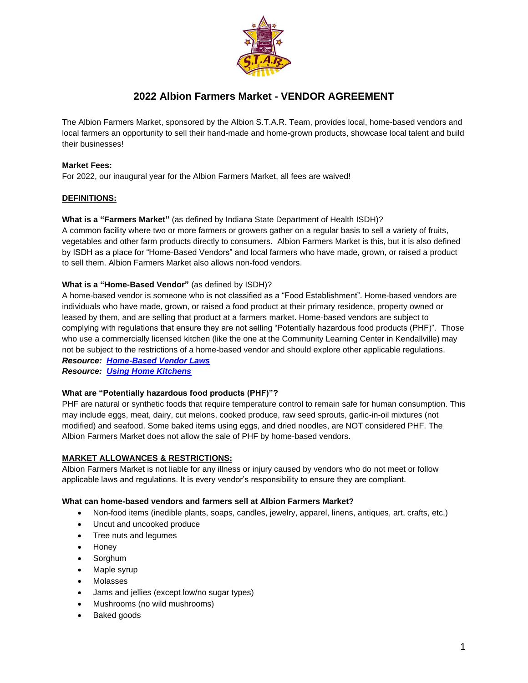

# **2022 Albion Farmers Market - VENDOR AGREEMENT**

The Albion Farmers Market, sponsored by the Albion S.T.A.R. Team, provides local, home-based vendors and local farmers an opportunity to sell their hand-made and home-grown products, showcase local talent and build their businesses!

# **Market Fees:**

For 2022, our inaugural year for the Albion Farmers Market, all fees are waived!

# **DEFINITIONS:**

# **What is a "Farmers Market"** (as defined by Indiana State Department of Health ISDH)?

A common facility where two or more farmers or growers gather on a regular basis to sell a variety of fruits, vegetables and other farm products directly to consumers. Albion Farmers Market is this, but it is also defined by ISDH as a place for "Home-Based Vendors" and local farmers who have made, grown, or raised a product to sell them. Albion Farmers Market also allows non-food vendors.

# **What is a "Home-Based Vendor"** (as defined by ISDH)?

A home-based vendor is someone who is not classified as a "Food Establishment". Home-based vendors are individuals who have made, grown, or raised a food product at their primary residence, property owned or leased by them, and are selling that product at a farmers market. Home-based vendors are subject to complying with regulations that ensure they are not selling "Potentially hazardous food products (PHF)". Those who use a commercially licensed kitchen (like the one at the Community Learning Center in Kendallville) may not be subject to the restrictions of a home-based vendor and should explore other applicable regulations.

*Resource: [Home-Based Vendor Laws](https://www.albionstarteam.org/_files/ugd/a8201e_222cda9d9b904fbea3bb79b6bd2e6ddb.pdf) Resource: [Using Home Kitchens](https://www.albionstarteam.org/_files/ugd/a8201e_7c51fa15da664bfd9fd7bbc651ab2675.pdf)*

# **What are "Potentially hazardous food products (PHF)"?**

PHF are natural or synthetic foods that require temperature control to remain safe for human consumption. This may include eggs, meat, dairy, cut melons, cooked produce, raw seed sprouts, garlic-in-oil mixtures (not modified) and seafood. Some baked items using eggs, and dried noodles, are NOT considered PHF. The Albion Farmers Market does not allow the sale of PHF by home-based vendors.

# **MARKET ALLOWANCES & RESTRICTIONS:**

Albion Farmers Market is not liable for any illness or injury caused by vendors who do not meet or follow applicable laws and regulations. It is every vendor's responsibility to ensure they are compliant.

#### **What can home-based vendors and farmers sell at Albion Farmers Market?**

- Non-food items (inedible plants, soaps, candles, jewelry, apparel, linens, antiques, art, crafts, etc.)
- Uncut and uncooked produce
- Tree nuts and legumes
- Honey
- Sorghum
- Maple syrup
- Molasses
- Jams and jellies (except low/no sugar types)
- Mushrooms (no wild mushrooms)
- Baked goods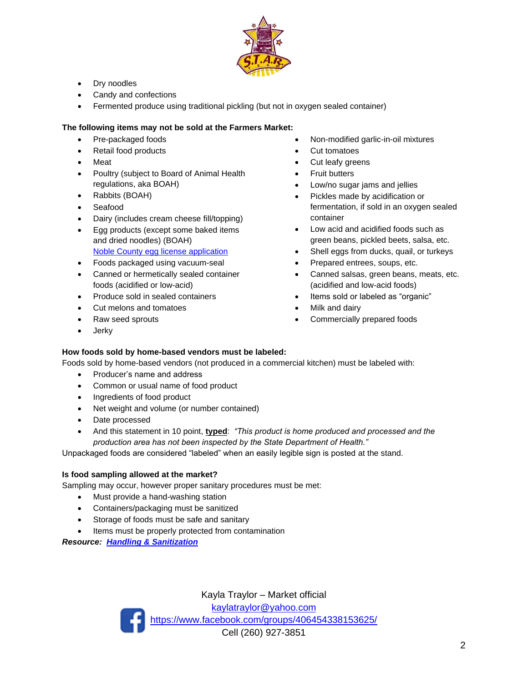

- Dry noodles
- Candy and confections
- Fermented produce using traditional pickling (but not in oxygen sealed container)

# **The following items may not be sold at the Farmers Market:**

- Pre-packaged foods
- Retail food products
- **Meat**
- Poultry (subject to Board of Animal Health regulations, aka BOAH)
- Rabbits (BOAH)
- Seafood
- Dairy (includes cream cheese fill/topping)
- Egg products (except some baked items and dried noodles) (BOAH) [Noble County egg license appli](https://a8201ef7-0632-40b8-9840-add8fa76954e.usrfiles.com/ugd/a8201e_9a9fdb95ca114ebebeb8eced436a23c9.pdf)cation
- Foods packaged using vacuum-seal
- Canned or hermetically sealed container foods (acidified or low-acid)
- Produce sold in sealed containers
- Cut melons and tomatoes
- Raw seed sprouts
- Jerky
- Non-modified garlic-in-oil mixtures
- Cut tomatoes
- Cut leafy greens
- **Fruit butters**
- Low/no sugar jams and jellies
- Pickles made by acidification or fermentation, if sold in an oxygen sealed container
- Low acid and acidified foods such as green beans, pickled beets, salsa, etc.
- Shell eggs from ducks, quail, or turkeys
- Prepared entrees, soups, etc.
- Canned salsas, green beans, meats, etc. (acidified and low-acid foods)
- Items sold or labeled as "organic"
- Milk and dairy
- Commercially prepared foods

# **How foods sold by home-based vendors must be labeled:**

Foods sold by home-based vendors (not produced in a commercial kitchen) must be labeled with:

- Producer's name and address
- Common or usual name of food product
- Ingredients of food product
- Net weight and volume (or number contained)
- Date processed
- And this statement in 10 point, **typed**: *"This product is home produced and processed and the production area has not been inspected by the State Department of Health."*

Unpackaged foods are considered "labeled" when an easily legible sign is posted at the stand.

# **Is food sampling allowed at the market?**

Sampling may occur, however proper sanitary procedures must be met:

- Must provide a hand-washing station
- Containers/packaging must be sanitized
- Storage of foods must be safe and sanitary
- Items must be properly protected from contamination

*Resource: [Handling & Sanitization](https://www.albionstarteam.org/_files/ugd/a8201e_a946b9f46600406fbcdd0aeb065ddccc.pdf)*

Kayla Traylor – Market official [kaylatraylor@yahoo.com](mailto:kaylatraylor@yahoo.com) <https://www.facebook.com/groups/406454338153625/> Cell (260) 927-3851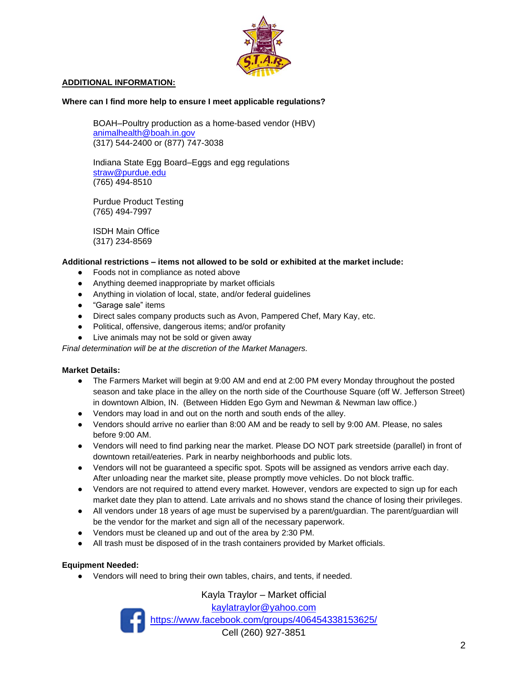

# **ADDITIONAL INFORMATION:**

#### **Where can I find more help to ensure I meet applicable regulations?**

BOAH–Poultry production as a home-based vendor (HBV) [animalhealth@boah.in.gov](mailto:animalhealth@boah.in.gov) (317) 544-2400 or (877) 747-3038

Indiana State Egg Board–Eggs and egg regulations [straw@purdue.edu](mailto:straw@purdue.edu) (765) 494-8510

Purdue Product Testing (765) 494-7997

ISDH Main Office (317) 234-8569

# **Additional restrictions – items not allowed to be sold or exhibited at the market include:**

- Foods not in compliance as noted above
- Anything deemed inappropriate by market officials
- Anything in violation of local, state, and/or federal guidelines
- "Garage sale" items
- Direct sales company products such as Avon, Pampered Chef, Mary Kay, etc.
- Political, offensive, dangerous items; and/or profanity
- Live animals may not be sold or given away

*Final determination will be at the discretion of the Market Managers.* 

#### **Market Details:**

- The Farmers Market will begin at 9:00 AM and end at 2:00 PM every Monday throughout the posted season and take place in the alley on the north side of the Courthouse Square (off W. Jefferson Street) in downtown Albion, IN. (Between Hidden Ego Gym and Newman & Newman law office.)
- Vendors may load in and out on the north and south ends of the alley.
- Vendors should arrive no earlier than 8:00 AM and be ready to sell by 9:00 AM. Please, no sales before 9:00 AM.
- Vendors will need to find parking near the market. Please DO NOT park streetside (parallel) in front of downtown retail/eateries. Park in nearby neighborhoods and public lots.
- Vendors will not be guaranteed a specific spot. Spots will be assigned as vendors arrive each day. After unloading near the market site, please promptly move vehicles. Do not block traffic.
- Vendors are not required to attend every market. However, vendors are expected to sign up for each market date they plan to attend. Late arrivals and no shows stand the chance of losing their privileges.
- All vendors under 18 years of age must be supervised by a parent/guardian. The parent/guardian will be the vendor for the market and sign all of the necessary paperwork.
- Vendors must be cleaned up and out of the area by 2:30 PM.
- All trash must be disposed of in the trash containers provided by Market officials.

#### **Equipment Needed:**

● Vendors will need to bring their own tables, chairs, and tents, if needed.

Kayla Traylor – Market official [kaylatraylor@yahoo.com](mailto:kaylatraylor@yahoo.com) <https://www.facebook.com/groups/406454338153625/> Cell (260) 927-3851